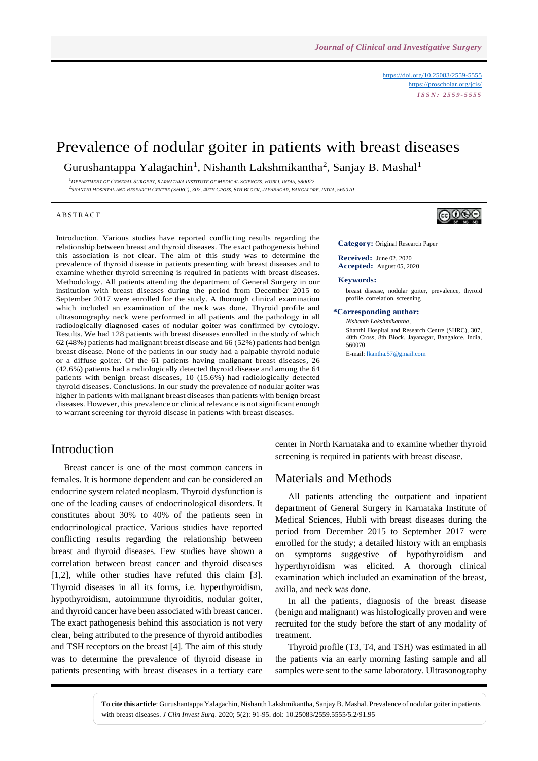<https://doi.org/10.25083/2559-5555> <https://proscholar.org/jcis/> *I S S N : 2 5 5 9 - 5 5 5 5*

# Prevalence of nodular goiter in patients with breast diseases

Gurushantappa Yalagachin<sup>1</sup>, Nishanth Lakshmikantha<sup>2</sup>, Sanjay B. Mashal<sup>1</sup>

 $^1$ DEPARTMENT OF GENERAL SURGERY. KARNATAKA INSTITUTE OF MEDICAL SCIENCES. HUBLI. INDIA. 580022 <sup>2</sup>Shanthi Hospital and Research Centre (SHRC), 307, 40th Cross, 8th Block, Jayanagar, Bangalore, India, 560070

#### A B STR ACT

Introduction. Various studies have reported conflicting results regarding the relationship between breast and thyroid diseases. The exact pathogenesis behind this association is not clear. The aim of this study was to determine the prevalence of thyroid disease in patients presenting with breast diseases and to examine whether thyroid screening is required in patients with breast diseases. Methodology. All patients attending the department of General Surgery in our institution with breast diseases during the period from December 2015 to September 2017 were enrolled for the study. A thorough clinical examination which included an examination of the neck was done. Thyroid profile and ultrasonography neck were performed in all patients and the pathology in all radiologically diagnosed cases of nodular goiter was confirmed by cytology. Results. We had 128 patients with breast diseases enrolled in the study of which 62 (48%) patients had malignant breast disease and 66 (52%) patients had benign breast disease. None of the patients in our study had a palpable thyroid nodule or a diffuse goiter. Of the 61 patients having malignant breast diseases, 26 (42.6%) patients had a radiologically detected thyroid disease and among the 64 patients with benign breast diseases, 10 (15.6%) had radiologically detected thyroid diseases. Conclusions. In our study the prevalence of nodular goiter was higher in patients with malignant breast diseases than patients with benign breast diseases. However, this prevalence or clinical relevance is not significant enough to warrant screening for thyroid disease in patients with breast diseases.

# ெ⊛ெ

**Category:** Original Research Paper

**Received:** June 02, 2020 **Accepted:** August 05, 2020

#### **Keywords:**

breast disease, nodular goiter, prevalence, thyroid profile, correlation, screening

**\*Corresponding author:**

*Nishanth Lakshmikantha*, Shanthi Hospital and Research Centre (SHRC), 307, 40th Cross, 8th Block, Jayanagar, Bangalore, India, 560070 E-mail[: lkantha.57@gmail.com](mailto:lkantha.57@gmail.com)

#### Introduction

Breast cancer is one of the most common cancers in females. It is hormone dependent and can be considered an endocrine system related neoplasm. Thyroid dysfunction is one of the leading causes of endocrinological disorders. It constitutes about 30% to 40% of the patients seen in endocrinological practice. Various studies have reported conflicting results regarding the relationship between breast and thyroid diseases. Few studies have shown a correlation between breast cancer and thyroid diseases [1,2], while other studies have refuted this claim [3]. Thyroid diseases in all its forms, i.e. hyperthyroidism, hypothyroidism, autoimmune thyroiditis, nodular goiter, and thyroid cancer have been associated with breast cancer. The exact pathogenesis behind this association is not very clear, being attributed to the presence of thyroid antibodies and TSH receptors on the breast [4]. The aim of this study was to determine the prevalence of thyroid disease in patients presenting with breast diseases in a tertiary care center in North Karnataka and to examine whether thyroid screening is required in patients with breast disease.

#### Materials and Methods

All patients attending the outpatient and inpatient department of General Surgery in Karnataka Institute of Medical Sciences, Hubli with breast diseases during the period from December 2015 to September 2017 were enrolled for the study; a detailed history with an emphasis on symptoms suggestive of hypothyroidism and hyperthyroidism was elicited. A thorough clinical examination which included an examination of the breast, axilla, and neck was done.

In all the patients, diagnosis of the breast disease (benign and malignant) was histologically proven and were recruited for the study before the start of any modality of treatment.

Thyroid profile (T3, T4, and TSH) was estimated in all the patients via an early morning fasting sample and all samples were sent to the same laboratory. Ultrasonography

**To cite this article**: Gurushantappa Yalagachin, Nishanth Lakshmikantha, Sanjay B. Mashal. Prevalence of nodular goiter in patients with breast diseases. *J Clin Invest Surg*. 2020; 5(2): 91-95. doi: 10.25083/2559.5555/5.2/91.95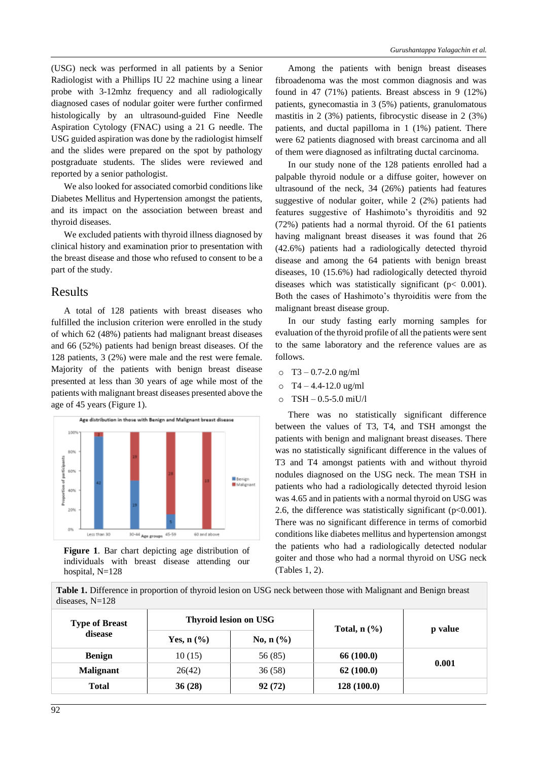(USG) neck was performed in all patients by a Senior Radiologist with a Phillips IU 22 machine using a linear probe with 3-12mhz frequency and all radiologically diagnosed cases of nodular goiter were further confirmed histologically by an ultrasound-guided Fine Needle Aspiration Cytology (FNAC) using a 21 G needle. The USG guided aspiration was done by the radiologist himself and the slides were prepared on the spot by pathology postgraduate students. The slides were reviewed and reported by a senior pathologist.

We also looked for associated comorbid conditions like Diabetes Mellitus and Hypertension amongst the patients, and its impact on the association between breast and thyroid diseases.

We excluded patients with thyroid illness diagnosed by clinical history and examination prior to presentation with the breast disease and those who refused to consent to be a part of the study.

#### Results

A total of 128 patients with breast diseases who fulfilled the inclusion criterion were enrolled in the study of which 62 (48%) patients had malignant breast diseases and 66 (52%) patients had benign breast diseases. Of the 128 patients, 3 (2%) were male and the rest were female. Majority of the patients with benign breast disease presented at less than 30 years of age while most of the patients with malignant breast diseases presented above the age of 45 years (Figure 1).





Among the patients with benign breast diseases fibroadenoma was the most common diagnosis and was found in 47 (71%) patients. Breast abscess in 9 (12%) patients, gynecomastia in 3 (5%) patients, granulomatous mastitis in 2 (3%) patients, fibrocystic disease in 2 (3%) patients, and ductal papilloma in 1 (1%) patient. There were 62 patients diagnosed with breast carcinoma and all of them were diagnosed as infiltrating ductal carcinoma.

In our study none of the 128 patients enrolled had a palpable thyroid nodule or a diffuse goiter, however on ultrasound of the neck, 34 (26%) patients had features suggestive of nodular goiter, while 2 (2%) patients had features suggestive of Hashimoto's thyroiditis and 92 (72%) patients had a normal thyroid. Of the 61 patients having malignant breast diseases it was found that 26 (42.6%) patients had a radiologically detected thyroid disease and among the 64 patients with benign breast diseases, 10 (15.6%) had radiologically detected thyroid diseases which was statistically significant (p< 0.001). Both the cases of Hashimoto's thyroiditis were from the malignant breast disease group.

In our study fasting early morning samples for evaluation of the thyroid profile of all the patients were sent to the same laboratory and the reference values are as follows.

- $O$  T<sub>3</sub> 0.7-2.0 ng/ml
- $O$  T4 4.4-12.0 ug/ml
- o TSH 0.5-5.0 miU/l

There was no statistically significant difference between the values of T3, T4, and TSH amongst the patients with benign and malignant breast diseases. There was no statistically significant difference in the values of T3 and T4 amongst patients with and without thyroid nodules diagnosed on the USG neck. The mean TSH in patients who had a radiologically detected thyroid lesion was 4.65 and in patients with a normal thyroid on USG was 2.6, the difference was statistically significant  $(p<0.001)$ . There was no significant difference in terms of comorbid conditions like diabetes mellitus and hypertension amongst the patients who had a radiologically detected nodular goiter and those who had a normal thyroid on USG neck (Tables 1, 2).

**Table 1.** Difference in proportion of thyroid lesion on USG neck between those with Malignant and Benign breast diseases, N=128

| <b>Type of Breast</b><br>disease | <b>Thyroid lesion on USG</b> |             | Total, $n$ $(\%)$ | p value |
|----------------------------------|------------------------------|-------------|-------------------|---------|
|                                  | Yes, $n$ $(\%)$              | No, $n$ (%) |                   |         |
| <b>Benign</b>                    | 10(15)                       | 56 (85)     | 66 (100.0)        | 0.001   |
| <b>Malignant</b>                 | 26(42)                       | 36(58)      | 62(100.0)         |         |
| <b>Total</b>                     | 36(28)                       | 92(72)      | 128(100.0)        |         |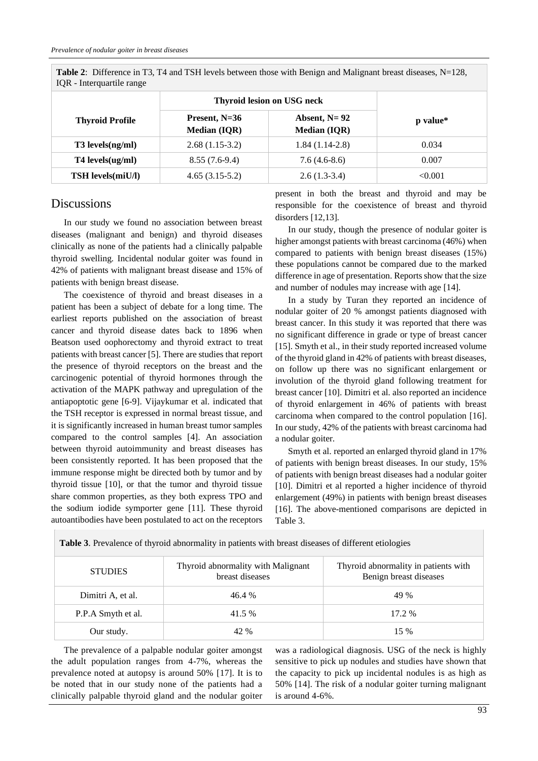| TOR - Interguarule range |                                        |                                         |          |  |  |  |
|--------------------------|----------------------------------------|-----------------------------------------|----------|--|--|--|
|                          | <b>Thyroid lesion on USG neck</b>      |                                         |          |  |  |  |
| <b>Thyroid Profile</b>   | Present, $N=36$<br><b>Median (IQR)</b> | Absent, $N = 92$<br><b>Median (IQR)</b> | p value* |  |  |  |
| T3 levels(ng/ml)         | $2.68(1.15-3.2)$                       | $1.84(1.14-2.8)$                        | 0.034    |  |  |  |
| $T4$ levels $(ug/ml)$    | $8.55(7.6-9.4)$                        | $7.6(4.6-8.6)$                          | 0.007    |  |  |  |
| <b>TSH</b> levels(miU/l) | $4.65(3.15-5.2)$                       | $2.6(1.3-3.4)$                          | < 0.001  |  |  |  |

**Table 2**: Difference in T3, T4 and TSH levels between those with Benign and Malignant breast diseases, N=128, IQR - Interquartile range

#### **Discussions**

In our study we found no association between breast diseases (malignant and benign) and thyroid diseases clinically as none of the patients had a clinically palpable thyroid swelling. Incidental nodular goiter was found in 42% of patients with malignant breast disease and 15% of patients with benign breast disease.

The coexistence of thyroid and breast diseases in a patient has been a subject of debate for a long time. The earliest reports published on the association of breast cancer and thyroid disease dates back to 1896 when Beatson used oophorectomy and thyroid extract to treat patients with breast cancer [5]. There are studies that report the presence of thyroid receptors on the breast and the carcinogenic potential of thyroid hormones through the activation of the MAPK pathway and upregulation of the antiapoptotic gene [6-9]. Vijaykumar et al. indicated that the TSH receptor is expressed in normal breast tissue, and it is significantly increased in human breast tumor samples compared to the control samples [4]. An association between thyroid autoimmunity and breast diseases has been consistently reported. It has been proposed that the immune response might be directed both by tumor and by thyroid tissue [10], or that the tumor and thyroid tissue share common properties, as they both express TPO and the sodium iodide symporter gene [11]. These thyroid autoantibodies have been postulated to act on the receptors present in both the breast and thyroid and may be responsible for the coexistence of breast and thyroid disorders [12,13].

In our study, though the presence of nodular goiter is higher amongst patients with breast carcinoma (46%) when compared to patients with benign breast diseases (15%) these populations cannot be compared due to the marked difference in age of presentation. Reports show that the size and number of nodules may increase with age [14].

In a study by Turan they reported an incidence of nodular goiter of 20 % amongst patients diagnosed with breast cancer. In this study it was reported that there was no significant difference in grade or type of breast cancer [15]. Smyth et al., in their study reported increased volume of the thyroid gland in 42% of patients with breast diseases, on follow up there was no significant enlargement or involution of the thyroid gland following treatment for breast cancer [10]. Dimitri et al. also reported an incidence of thyroid enlargement in 46% of patients with breast carcinoma when compared to the control population [16]. In our study, 42% of the patients with breast carcinoma had a nodular goiter.

Smyth et al. reported an enlarged thyroid gland in 17% of patients with benign breast diseases. In our study, 15% of patients with benign breast diseases had a nodular goiter [10]. Dimitri et al reported a higher incidence of thyroid enlargement (49%) in patients with benign breast diseases [16]. The above-mentioned comparisons are depicted in Table 3.

| <b>STUDIES</b>     | Thyroid abnormality with Malignant<br>breast diseases | Thyroid abnormality in patients with<br>Benign breast diseases |  |  |
|--------------------|-------------------------------------------------------|----------------------------------------------------------------|--|--|
| Dimitri A, et al.  | 46.4%                                                 | 49 %                                                           |  |  |
| P.P.A Smyth et al. | 41.5 %                                                | $17.2\%$                                                       |  |  |
| Our study.         | 42 %                                                  | $15\%$                                                         |  |  |

**Table 3**. Prevalence of thyroid abnormality in patients with breast diseases of different etiologies

The prevalence of a palpable nodular goiter amongst the adult population ranges from 4-7%, whereas the prevalence noted at autopsy is around 50% [17]. It is to be noted that in our study none of the patients had a clinically palpable thyroid gland and the nodular goiter

was a radiological diagnosis. USG of the neck is highly sensitive to pick up nodules and studies have shown that the capacity to pick up incidental nodules is as high as 50% [14]. The risk of a nodular goiter turning malignant is around 4-6%.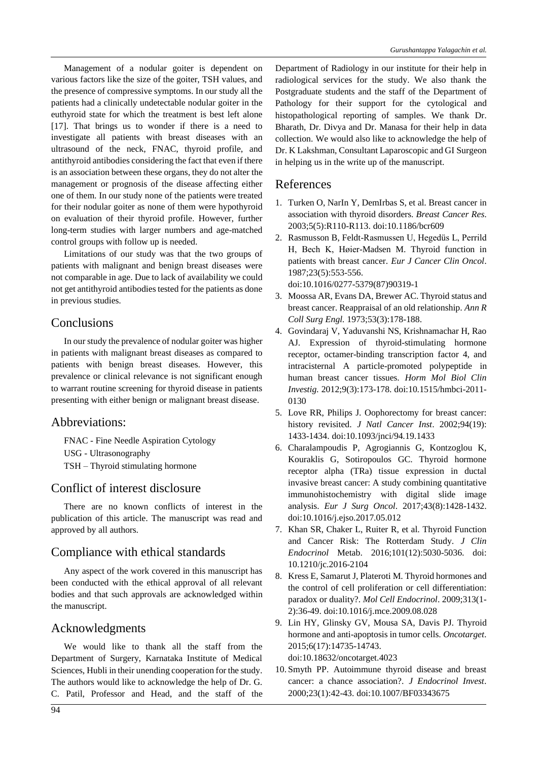Management of a nodular goiter is dependent on various factors like the size of the goiter, TSH values, and the presence of compressive symptoms. In our study all the patients had a clinically undetectable nodular goiter in the euthyroid state for which the treatment is best left alone [17]. That brings us to wonder if there is a need to investigate all patients with breast diseases with an ultrasound of the neck, FNAC, thyroid profile, and antithyroid antibodies considering the fact that even if there is an association between these organs, they do not alter the management or prognosis of the disease affecting either one of them. In our study none of the patients were treated for their nodular goiter as none of them were hypothyroid on evaluation of their thyroid profile. However, further long-term studies with larger numbers and age-matched control groups with follow up is needed.

Limitations of our study was that the two groups of patients with malignant and benign breast diseases were not comparable in age. Due to lack of availability we could not get antithyroid antibodies tested for the patients as done in previous studies.

# **Conclusions**

In our study the prevalence of nodular goiter was higher in patients with malignant breast diseases as compared to patients with benign breast diseases. However, this prevalence or clinical relevance is not significant enough to warrant routine screening for thyroid disease in patients presenting with either benign or malignant breast disease.

## Abbreviations:

FNAC - Fine Needle Aspiration Cytology USG - Ultrasonography TSH – Thyroid stimulating hormone

# Conflict of interest disclosure

There are no known conflicts of interest in the publication of this article. The manuscript was read and approved by all authors.

# Compliance with ethical standards

Any aspect of the work covered in this manuscript has been conducted with the ethical approval of all relevant bodies and that such approvals are acknowledged within the manuscript.

## Acknowledgments

We would like to thank all the staff from the Department of Surgery, Karnataka Institute of Medical Sciences, Hubli in their unending cooperation for the study. The authors would like to acknowledge the help of Dr. G. C. Patil, Professor and Head, and the staff of the Department of Radiology in our institute for their help in radiological services for the study. We also thank the Postgraduate students and the staff of the Department of Pathology for their support for the cytological and histopathological reporting of samples. We thank Dr. Bharath, Dr. Divya and Dr. Manasa for their help in data collection. We would also like to acknowledge the help of Dr. K Lakshman, Consultant Laparoscopic and GI Surgeon in helping us in the write up of the manuscript.

#### References

- 1. Turken O, NarIn Y, DemIrbas S, et al. Breast cancer in association with thyroid disorders. *Breast Cancer Res*. 2003;5(5):R110-R113. doi:10.1186/bcr609
- 2. Rasmusson B, Feldt-Rasmussen U, Hegedüs L, Perrild H, Bech K, Høier-Madsen M. Thyroid function in patients with breast cancer. *Eur J Cancer Clin Oncol*. 1987;23(5):553-556. doi:10.1016/0277-5379(87)90319-1
- 3. Moossa AR, Evans DA, Brewer AC. Thyroid status and breast cancer. Reappraisal of an old relationship. *Ann R Coll Surg Engl.* 1973;53(3):178-188.
- 4. Govindaraj V, Yaduvanshi NS, Krishnamachar H, Rao AJ. Expression of thyroid-stimulating hormone receptor, octamer-binding transcription factor 4, and intracisternal A particle-promoted polypeptide in human breast cancer tissues. *Horm Mol Biol Clin Investig.* 2012;9(3):173-178. doi:10.1515/hmbci-2011- 0130
- 5. Love RR, Philips J. Oophorectomy for breast cancer: history revisited. *J Natl Cancer Inst*. 2002;94(19): 1433-1434. doi:10.1093/jnci/94.19.1433
- 6. Charalampoudis P, Agrogiannis G, Kontzoglou K, Kouraklis G, Sotiropoulos GC. Thyroid hormone receptor alpha (TRa) tissue expression in ductal invasive breast cancer: A study combining quantitative immunohistochemistry with digital slide image analysis. *Eur J Surg Oncol*. 2017;43(8):1428-1432. doi:10.1016/j.ejso.2017.05.012
- 7. Khan SR, Chaker L, Ruiter R, et al. Thyroid Function and Cancer Risk: The Rotterdam Study. *J Clin Endocrinol* Metab. 2016;101(12):5030-5036. doi: 10.1210/jc.2016-2104
- 8. Kress E, Samarut J, Plateroti M. Thyroid hormones and the control of cell proliferation or cell differentiation: paradox or duality?. *Mol Cell Endocrinol*. 2009;313(1- 2):36-49. doi:10.1016/j.mce.2009.08.028
- 9. Lin HY, Glinsky GV, Mousa SA, Davis PJ. Thyroid hormone and anti-apoptosis in tumor cells. *Oncotarget*. 2015;6(17):14735-14743. doi:10.18632/oncotarget.4023
- 10.Smyth PP. Autoimmune thyroid disease and breast cancer: a chance association?. *J Endocrinol Invest*. 2000;23(1):42-43. doi:10.1007/BF03343675